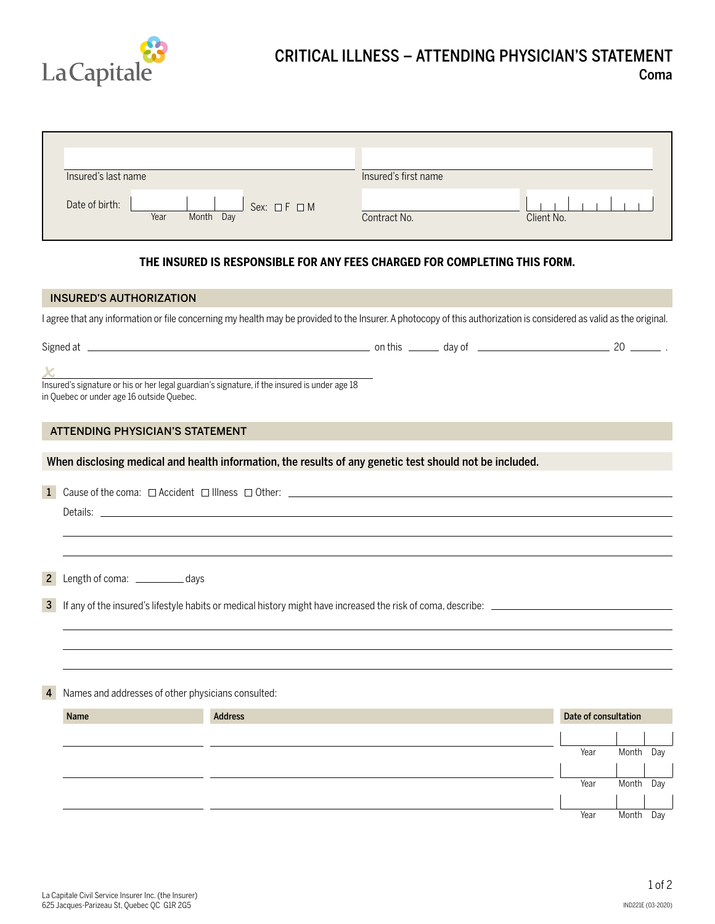

## CRITICAL ILLNESS – ATTENDING PHYSICIAN'S STATEMENT Coma

| Insured's last name                                         | Insured's first name       |
|-------------------------------------------------------------|----------------------------|
| Date of birth:<br>Sex: $\Box F \Box M$<br>Year<br>Month Day | Client No.<br>Contract No. |

## **THE INSURED IS RESPONSIBLE FOR ANY FEES CHARGED FOR COMPLETING THIS FORM.**

## INSURED'S AUTHORIZATION I agree that any information or file concerning my health may be provided to the Insurer. A photocopy of this authorization is considered as valid as the original. Signed at on this day of 20 . Insured's signature or his or her legal guardian's signature, if the insured is under age 18 in Quebec or under age 16 outside Quebec. ATTENDING PHYSICIAN'S STATEMENT When disclosing medical and health information, the results of any genetic test should not be included. **1** Cause of the coma:  $\Box$  Accident  $\Box$  Illness  $\Box$  Other:  $\Box$  Accident  $\Box$  Illness  $\Box$  Other:  $\Box$ Details: \_ 2 Length of coma: \_\_\_\_\_\_\_\_\_\_\_\_ days 3 If any of the insured's lifestyle habits or medical history might have increased the risk of coma, describe: 4 Names and addresses of other physicians consulted:

Name **Address Address Date of consultation** Address Address Address Address Address Address Address Address Address Address Address Address Address Address Address Address Address Address Address Address Address Address Ad Year Month Day Year Month Day Year Month Day